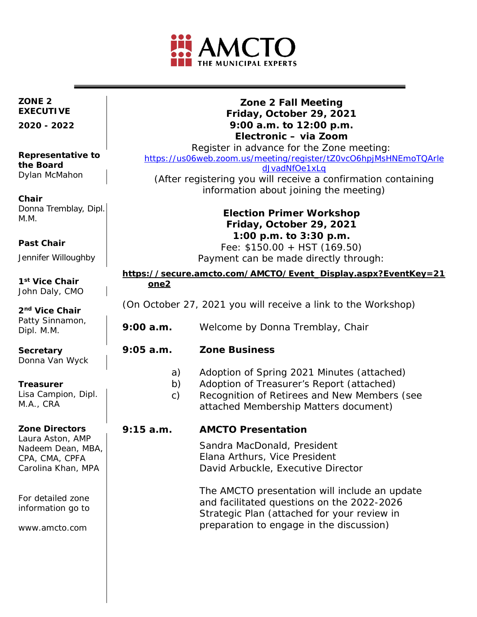

### **ZONE 2 EXECUTIVE**

**2020 - 2022**

#### **Representative to the Board**  Dylan McMahon

**Chair** Donna Tremblay, Dipl. M.M.

### **Past Chair**

Jennifer Willoughby

**1st Vice Chair** John Daly, CMO

**2nd Vice Chair** Patty Sinnamon, Dipl. M.M.

**Secretary** Donna Van Wyck

### **Treasurer**

Lisa Campion, Dipl. M.A., CRA

### **Zone Directors**

Laura Aston, AMP Nadeem Dean, MBA, CPA, CMA, CPFA Carolina Khan, MPA

For detailed zone information go to

www.amcto.com

### **Zone 2 Fall Meeting Friday, October 29, 2021 9:00 a.m. to 12:00 p.m. Electronic – via Zoom**

Register in advance for the Zone meeting: [https://us06web.zoom.us/meeting/register/tZ0vcO6hpjMsHNEmoTQArle](https://can01.safelinks.protection.outlook.com/?url=https%3A%2F%2Fus06web.zoom.us%2Fmeeting%2Fregister%2FtZ0vcO6hpjMsHNEmoTQArledJvadNfOe1xLq&data=04%7C01%7Cdvanwyck%40brucecounty.on.ca%7Ce25f5b71bb7c4da4a29008d9842be2b1%7Cfd89d08b66c84a86a12d6fcc6c432324%7C0%7C0%7C637686146305862862%7CUnknown%7CTWFpbGZsb3d8eyJWIjoiMC4wLjAwMDAiLCJQIjoiV2luMzIiLCJBTiI6Ik1haWwiLCJXVCI6Mn0%3D%7C1000&sdata=XVnDmGw1B96xXTacavSOhxWl7XJIkT6Khv0%2Fr2G8eIA%3D&reserved=0) [dJvadNfOe1xLq](https://can01.safelinks.protection.outlook.com/?url=https%3A%2F%2Fus06web.zoom.us%2Fmeeting%2Fregister%2FtZ0vcO6hpjMsHNEmoTQArledJvadNfOe1xLq&data=04%7C01%7Cdvanwyck%40brucecounty.on.ca%7Ce25f5b71bb7c4da4a29008d9842be2b1%7Cfd89d08b66c84a86a12d6fcc6c432324%7C0%7C0%7C637686146305862862%7CUnknown%7CTWFpbGZsb3d8eyJWIjoiMC4wLjAwMDAiLCJQIjoiV2luMzIiLCJBTiI6Ik1haWwiLCJXVCI6Mn0%3D%7C1000&sdata=XVnDmGw1B96xXTacavSOhxWl7XJIkT6Khv0%2Fr2G8eIA%3D&reserved=0) (After registering you will receive a confirmation containing

information about joining the meeting)

## **Election Primer Workshop Friday, October 29, 2021 1:00 p.m. to 3:30 p.m.**

Fee: \$150.00 + HST (169.50) Payment can be made directly through:

#### **[https://secure.amcto.com/AMCTO/Event\\_Display.aspx?EventKey=21f](https://can01.safelinks.protection.outlook.com/?url=https%3A%2F%2Fsecure.amcto.com%2FAMCTO%2FEvent_Display.aspx%3FEventKey%3D21fepzone2&data=04%7C01%7Cdvanwyck%40brucecounty.on.ca%7Cbed3c35f26c24294fff208d984177ca4%7Cfd89d08b66c84a86a12d6fcc6c432324%7C0%7C0%7C637686058827934537%7CUnknown%7CTWFpbGZsb3d8eyJWIjoiMC4wLjAwMDAiLCJQIjoiV2luMzIiLCJBTiI6Ik1haWwiLCJXVCI6Mn0%3D%7C1000&sdata=rF%2F2W2HscQigXCsIIx73xHVWELV2rquxPrqwfjf8v3w%3D&reserved=0) [one2](https://can01.safelinks.protection.outlook.com/?url=https%3A%2F%2Fsecure.amcto.com%2FAMCTO%2FEvent_Display.aspx%3FEventKey%3D21fepzone2&data=04%7C01%7Cdvanwyck%40brucecounty.on.ca%7Cbed3c35f26c24294fff208d984177ca4%7Cfd89d08b66c84a86a12d6fcc6c432324%7C0%7C0%7C637686058827934537%7CUnknown%7CTWFpbGZsb3d8eyJWIjoiMC4wLjAwMDAiLCJQIjoiV2luMzIiLCJBTiI6Ik1haWwiLCJXVCI6Mn0%3D%7C1000&sdata=rF%2F2W2HscQigXCsIIx73xHVWELV2rquxPrqwfjf8v3w%3D&reserved=0)**

(On October 27, 2021 you will receive a link to the Workshop)

- **9:00 a.m.** Welcome by Donna Tremblay, Chair
- **9:05 a.m. Zone Business**
	- a) Adoption of Spring 2021 Minutes (attached)
	- b) Adoption of Treasurer's Report (attached)
	- c) Recognition of Retirees and New Members (see attached Membership Matters document)

### **9:15 a.m. AMCTO Presentation**

Sandra MacDonald, President Elana Arthurs, Vice President David Arbuckle, Executive Director

The AMCTO presentation will include an update and facilitated questions on the 2022-2026 Strategic Plan (attached for your review in preparation to engage in the discussion)